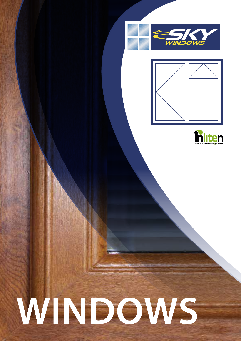





# WINDOWS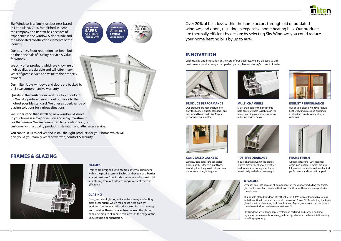







# **INNOVATION**

**FRAMES & GLAZING**



Sky Windows is a family run business based in Little Island, Cork. Established in 1990, the company and its staff has decades of experience in the window & door trade and the associated construction elements of the industry.

Our business & our reputation has been built on the principals of Quality, Service & Value for Money.

We only offer products which we know are of high quality, are durable and will offer many years of great service and value to the property owners.

Our Inliten Upvc windows and doors are backed by a 15 year comprehensive warranty.

Quality in the finish of our work is a top priority for us. We take pride in carrying out our work to the highest possible standard. We offer a superb range of glazing solutions for various situations.

We understand that installing new windows & doors in your home is a major decision and a big investment. For that reason, We are committed to providing you , our customer, with a quality product, installation and after sales service.

You can trust us to deliver and install the right products for your home which will give you & your family years of warmth, comfort & security.

> Our double glazed windows offer U-values of 1.4 W/m2K as standard ('A' rating), with the option to reduce the overall U-value to 1.2 W/m<sup>2</sup>K. By selecting the triple glazed windows, featuring Soft Coat Xtra and Argon gas, you can further reduce the whole window U-value to only 0.8 W/m<sup>2</sup>K.

With quality and innovation at the core of our business, we are pleased to offer customers a product range that perfectly complements today's current climate.



### **PRODUCT PERFORMANCE**

Our products are manufactured to only the highest quality standards and are backed by an exclusive 15 year performance guarantee.





**ENERGY PERFORMANCE**

Our double glazed windows feature heat reflecting glass and 'A' ratings as standard on all casement-style windows.

### **CONCEALED GASKETS**

Window frames feature concealed glazing gaskets for zero sightlines; ensuring that the gasket rubber does not obstruct the glazing area.





### **MULTI CHAMBERS**



Multi chambers within the profile help eliminate heat loss through the frame; keeping your home warm and reducing waste energy.

# **POSITIVE DRAINAGE**

lnbuilt channels within the profile system provides enhanced weather performance; ensuring your frames remain fully sealed and watertight.



**FRAME FINISH**

All frames feature 100% lead-free, virgin skin surfaces. Frames are also fully welded for enhanced mechanical performance and aesthetic appeal.

# **U-VALUES**

U-values take into account all components of the window including the frame, glass and spacer bar; therefore the lower the U-value, the more energy efficient

the window.

Sky Windows are independently tested and certified, and exceed building regulation requirements for energy efficiency, which can be beneficial if renting or selling a property.

# **FRAMES**

Frames are designed with multiple internal chambers within the profile system. Each chamber acts as a barrier against heat loss from inside the home and against cold air entering from outside, ensuring excellent thermal efficiency.

# **GLAZING**

Energy efficient glazing units feature energy reflecting glass as standard, which maximises heat gain by retaining interior warmth and transmitting solar energy from outside. Thermo spacer bars connect the glazing panes, helping to eliminate cold areas at the edge of the unit, reducing condensation.

Over 20% of heat loss within the home occurs through old or outdated windows and doors, resulting in expensive home heating bills. Our products are thermally efficient by design; by selecting Sky Windows you could reduce your home heating bills by up to 40%.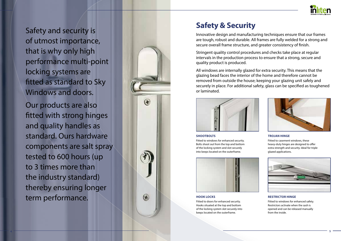



Innovative design and manufacturing techniques ensure that our frames are tough, robust and durable. All frames are fully welded for a strong and secure overall frame structure, and greater consistency of finish.

Stringent quality control procedures and checks take place at regular intervals in the production process to ensure that a strong, secure and quality product is produced.

All windows are internally glazed for extra security. This means that the glazing bead faces the interior of the home and therefore cannot be removed from outside the house; keeping your glazing unit safely and securely in place. For additional safety, glass can be specified as toughened or laminated.



### **SHOOTBOLTS**

Fitted to windows for enhanced security. Bolts shoot out from the top and bottom of the locking system and slot securely into keeps located on the outerframe.



### **TROJAN HINGE**

Fitted to casement windows, these heavy-duty hinges are designed to offer extra strength and security. Ideal for triple glazed applications.



#### **HOOK LOCKS**

Fitted to doors for enhanced security. Hooks situated at the top and bottom of the locking system slot securely into keeps located on the outerframe.

#### **RESTRICTOR HINGE**

Fitted to windows for enhanced safety. Restrictors activate when the sash is opened and can be released manually from the inside.

Safety and security is of utmost importance, that is why only high performance multi-point locking systems are fitted as standard to Sky Windows and doors. Our products are also fitted with strong hinges and quality handles as standard. Ours hardware components are salt spray tested to 600 hours (up to 3 times more than the industry standard) thereby ensuring longer term performance.



# **Safety & Security**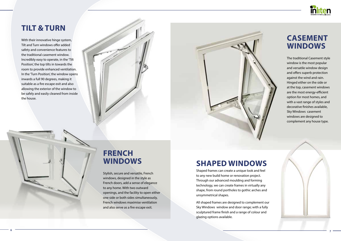

# **TILT & TURN**

With their innovative hinge system, Tilt and Turn windows offer added safety and convenience features to the traditional casement window. Incredibly easy to operate, in the 'Tilt Position', the top tilts in towards the room to provide enhanced ventilation. In the 'Turn Position', the window opens inwards a full 90 degrees, making it suitable as a fire escape exit and also allowing the exterior of the window to be safely and easily cleaned from inside the house.



# **CASEMENT WINDOWS**

The traditional Casement style window is the most popular and versatile window design and offers superb protection against the wind and rain. Hinged either on the side or at the top, casement windows are the most energy-efficient option for most homes, and with a vast range of styles and decorative finishes available, Sky Windows casement windows are designed to complement any house type.

# **FRENCH WINDOWS**

Stylish, secure and versatile, French windows, designed in the style as French doors, add a sense of elegance to any home. With two outward openings, and the facility to open either one side or both sides simultaneously, French windows maximise ventilation and also serve as a fire escape exit.

**SHAPED WINDOWS** Shaped frames can create a unique look and feel to any new build home or renovation project. Through our advanced moulding and forming technology, we can create frames in virtually any shape, from round portholes to gothic arches and unsymmetrical shapes.

All shaped frames are designed to complement our Sky Windows window and door range; with a fully sculptured frame finish and a range of colour and glazing options available.

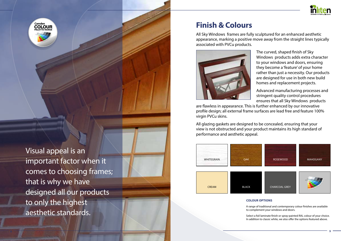# **Finish & Colours**

Visual appeal is an important factor when it comes to choosing frames; that is why we have designed all our products to only the highest aesthetic standards.

# **COLOUR OPTIONS**

A range of traditional and contemporary colour finishes are available to complement your windows and doors.

Select a foil laminate finish or spray-painted RAL colour of your choice. In addition to classic white, we also offer the options featured above.

# All Sky Windows frames are fully sculptured for an enhanced aesthetic appearance, marking a positive move away from the straight lines typically

associated with PVCu products.



The curved, shaped finish of Sky Windows products adds extra character to your windows and doors, ensuring they become a 'feature' of your home rather than just a necessity. Our products are designed for use in both new build homes and replacement projects.

Advanced manufacturing processes and stringent quality control procedures ensures that all Sky Windows products are flawless in appearance. This is further enhanced by our innovative profile design; all external frame surfaces are lead free and feature 100% virgin PVCu skins.

All glazing gaskets are designed to be concealed, ensuring that your view is not obstructed and your product maintains its high standard of performance and aesthetic appeal.





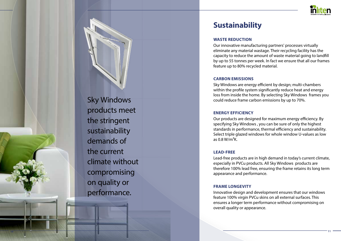# **Sustainability**



Sky Windows products meet the stringent sustainability demands of the current climate without compromising on quality or performance.

# **WASTE REDUCTION**

Our innovative manufacturing partners' processes virtually eliminate any material wastage. Their recycling facility has the capacity to reduce the amount of waste material going to landfill by up to 55 tonnes per week. In fact we ensure that all our frames feature up to 80% recycled material.

# **CARBON EMISSIONS**

Sky Windows are energy efficient by design; multi-chambers within the profile system significantly reduce heat and energy loss from inside the home. By selecting Sky Windows frames you could reduce frame carbon emissions by up to 70%.

# **ENERGY EFFICIENCY**

Our products are designed for maximum energy efficiency. By specifying Sky Windows , you can be sure of only the highest standards in performance, thermal efficiency and sustainability. Select triple glazed windows for whole window U-values as low as 0.8 W/m 2K.

# **LEAD-FREE**

Lead-free products are in high demand in today's current climate, especially in PVCu products. All Sky Windows products are therefore 100% lead free, ensuring the frame retains its long term appearance and performance.

# **FRAME LONGEVITY**

Innovative design and development ensures that our windows feature 100% virgin PVCu skins on all external surfaces. This ensures a longer term performance without compromising on overall quality or appearance.